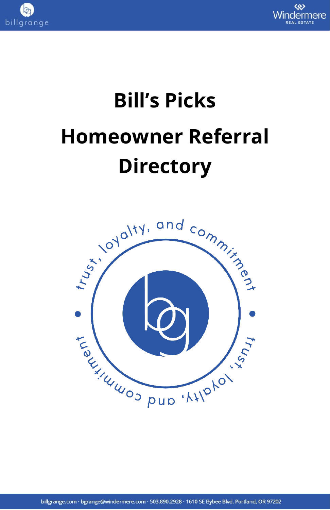



# **Bill's Picks Homeowner Referral Directory**

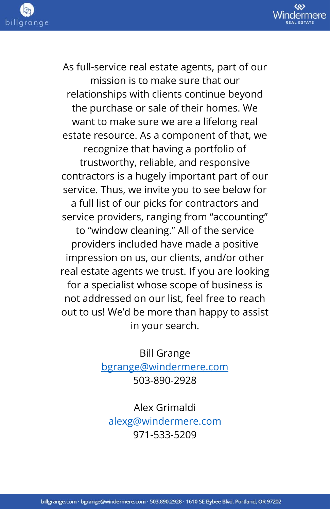

As full-service real estate agents, part of our mission is to make sure that our relationships with clients continue beyond the purchase or sale of their homes. We want to make sure we are a lifelong real estate resource. As a component of that, we recognize that having a portfolio of trustworthy, reliable, and responsive contractors is a hugely important part of our service. Thus, we invite you to see below for a full list of our picks for contractors and service providers, ranging from "accounting" to "window cleaning." All of the service providers included have made a positive impression on us, our clients, and/or other real estate agents we trust. If you are looking for a specialist whose scope of business is not addressed on our list, feel free to reach out to us! We'd be more than happy to assist in your search.

> Bill Grange [bgrange@windermere.com](mailto:bgrange@windermere.com) 503-890-2928

Alex Grimaldi [alexg@windermere.com](mailto:alexg@windermere.com) 971-533-5209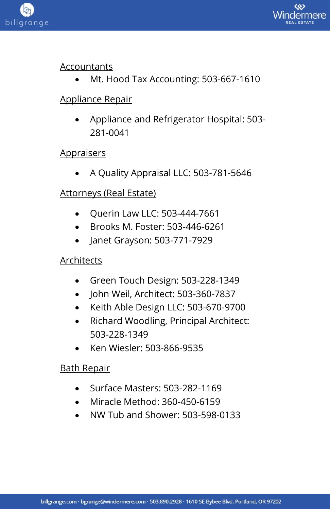



#### Accountants

• Mt. Hood Tax Accounting: 503-667-1610

#### Appliance Repair

• Appliance and Refrigerator Hospital: 503- 281-0041

#### **Appraisers**

• A Quality Appraisal LLC: 503-781-5646

#### Attorneys (Real Estate)

- Querin Law LLC: 503-444-7661
- Brooks M. Foster: 503-446-6261
- Janet Grayson: 503-771-7929

#### Architects

- Green Touch Design: 503-228-1349
- John Weil, Architect: 503-360-7837
- Keith Able Design LLC: 503-670-9700
- Richard Woodling, Principal Architect: 503-228-1349
- Ken Wiesler: 503-866-9535

#### Bath Repair

- Surface Masters: 503-282-1169
- Miracle Method: 360-450-6159
- NW Tub and Shower: 503-598-0133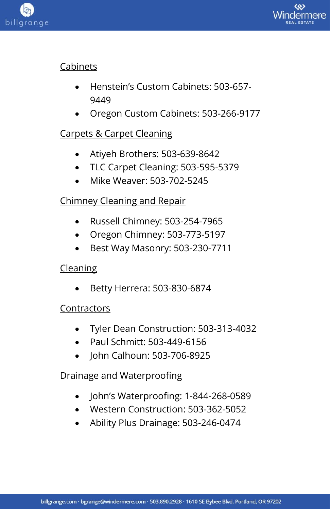



## Cabinets

- Henstein's Custom Cabinets: 503-657- 9449
- Oregon Custom Cabinets: 503-266-9177

# Carpets & Carpet Cleaning

- Atiyeh Brothers: 503-639-8642
- TLC Carpet Cleaning: 503-595-5379
- Mike Weaver: 503-702-5245

# Chimney Cleaning and Repair

- Russell Chimney: 503-254-7965
- Oregon Chimney: 503-773-5197
- Best Way Masonry: 503-230-7711

## Cleaning

• Betty Herrera: 503-830-6874

## Contractors

- Tyler Dean Construction: 503-313-4032
- Paul Schmitt: 503-449-6156
- John Calhoun: 503-706-8925

## Drainage and Waterproofing

- John's Waterproofing: 1-844-268-0589
- Western Construction: 503-362-5052
- Ability Plus Drainage: 503-246-0474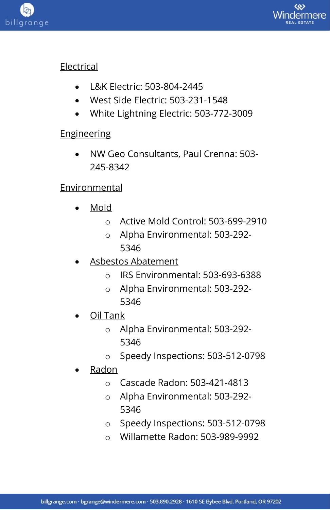



## **Electrical**

- L&K Electric: 503-804-2445
- West Side Electric: 503-231-1548
- White Lightning Electric: 503-772-3009

## **Engineering**

• NW Geo Consultants, Paul Crenna: 503- 245-8342

## Environmental

- Mold
	- o Active Mold Control: 503-699-2910
	- o Alpha Environmental: 503-292- 5346
- Asbestos Abatement
	- o IRS Environmental: 503-693-6388
	- o Alpha Environmental: 503-292- 5346
- Oil Tank
	- o Alpha Environmental: 503-292- 5346
	- o Speedy Inspections: 503-512-0798
- Radon
	- o Cascade Radon: 503-421-4813
	- o Alpha Environmental: 503-292- 5346
	- o Speedy Inspections: 503-512-0798
	- o Willamette Radon: 503-989-9992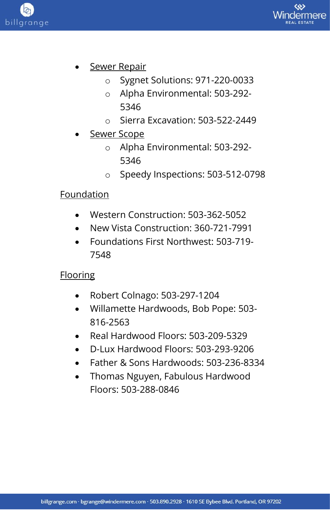

- **Sewer Repair** 
	- o Sygnet Solutions: 971-220-0033
	- o Alpha Environmental: 503-292- 5346
	- o Sierra Excavation: 503-522-2449
- Sewer Scope
	- o Alpha Environmental: 503-292- 5346
	- o Speedy Inspections: 503-512-0798

## Foundation

billgrange

- Western Construction: 503-362-5052
- New Vista Construction: 360-721-7991
- Foundations First Northwest: 503-719- 7548

## **Flooring**

- Robert Colnago: 503-297-1204
- Willamette Hardwoods, Bob Pope: 503- 816-2563
- Real Hardwood Floors: 503-209-5329
- D-Lux Hardwood Floors: 503-293-9206
- Father & Sons Hardwoods: 503-236-8334
- Thomas Nguyen, Fabulous Hardwood Floors: 503-288-0846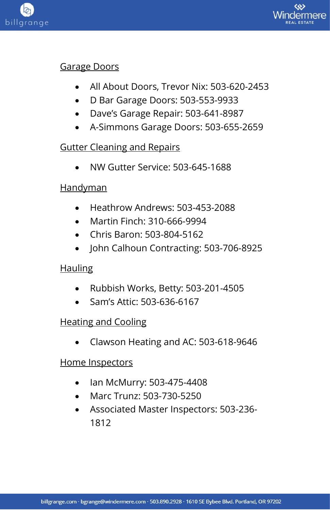



#### Garage Doors

- All About Doors, Trevor Nix: 503-620-2453
- D Bar Garage Doors: 503-553-9933
- Dave's Garage Repair: 503-641-8987
- A-Simmons Garage Doors: 503-655-2659

## Gutter Cleaning and Repairs

• NW Gutter Service: 503-645-1688

## **Handyman**

- Heathrow Andrews: 503-453-2088
- Martin Finch: 310-666-9994
- Chris Baron: 503-804-5162
- John Calhoun Contracting: 503-706-8925

## Hauling

- Rubbish Works, Betty: 503-201-4505
- Sam's Attic: 503-636-6167

## Heating and Cooling

• Clawson Heating and AC: 503-618-9646

## Home Inspectors

- Ian McMurry: 503-475-4408
- Marc Trunz: 503-730-5250
- Associated Master Inspectors: 503-236- 1812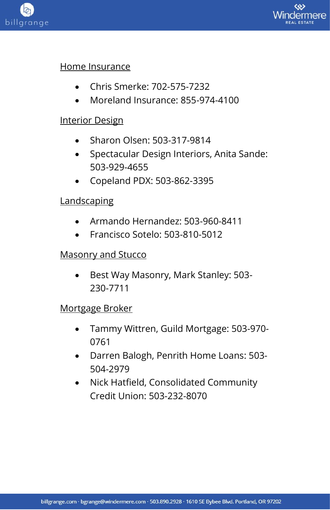



#### Home Insurance

- Chris Smerke: 702-575-7232
- Moreland Insurance: 855-974-4100

#### Interior Design

- Sharon Olsen: 503-317-9814
- Spectacular Design Interiors, Anita Sande: 503-929-4655
- Copeland PDX: 503-862-3395

## **Landscaping**

- Armando Hernandez: 503-960-8411
- Francisco Sotelo: 503-810-5012

#### Masonry and Stucco

• Best Way Masonry, Mark Stanley: 503- 230-7711

#### Mortgage Broker

- Tammy Wittren, Guild Mortgage: 503-970- 0761
- Darren Balogh, Penrith Home Loans: 503- 504-2979
- Nick Hatfield, Consolidated Community Credit Union: 503-232-8070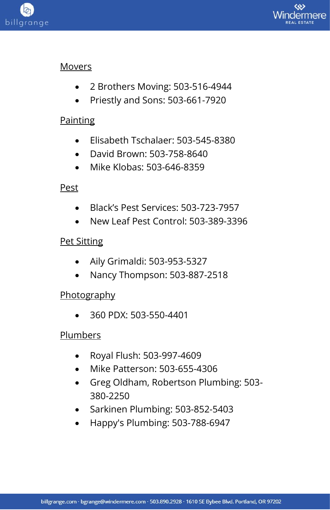



#### Movers

- 2 Brothers Moving: 503-516-4944
- Priestly and Sons: 503-661-7920

#### **Painting**

- Elisabeth Tschalaer: 503-545-8380
- David Brown: 503-758-8640
- Mike Klobas: 503-646-8359

## Pest

- Black's Pest Services: 503-723-7957
- New Leaf Pest Control: 503-389-3396

## Pet Sitting

- Aily Grimaldi: 503-953-5327
- Nancy Thompson: 503-887-2518

## **Photography**

• 360 PDX: 503-550-4401

## Plumbers

- Royal Flush: 503-997-4609
- Mike Patterson: 503-655-4306
- Greg Oldham, Robertson Plumbing: 503- 380-2250
- Sarkinen Plumbing: 503-852-5403
- Happy's Plumbing: 503-788-6947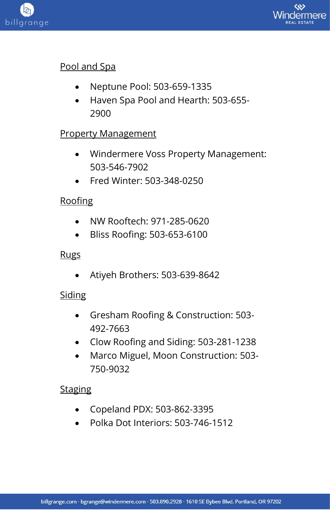



## Pool and Spa

- Neptune Pool: 503-659-1335
- Haven Spa Pool and Hearth: 503-655- 2900

## **Property Management**

- Windermere Voss Property Management: 503-546-7902
- Fred Winter: 503-348-0250

## **Roofing**

- NW Rooftech: 971-285-0620
- Bliss Roofing: 503-653-6100

## Rugs

• Atiyeh Brothers: 503-639-8642

## **Siding**

- Gresham Roofing & Construction: 503- 492-7663
- Clow Roofing and Siding: 503-281-1238
- Marco Miguel, Moon Construction: 503- 750-9032

## **Staging**

- Copeland PDX: 503-862-3395
- Polka Dot Interiors: 503-746-1512